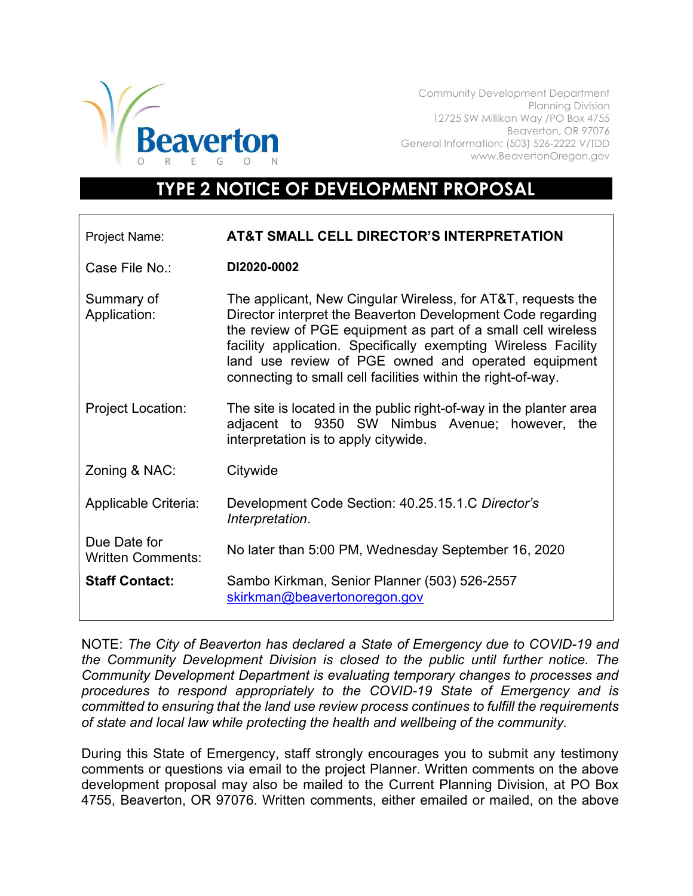

Community Development Department Planning Division 12725 SW Millikan Way /PO Box 4755 Beaverton, OR 97076 General Information: (503) 526-2222 V/TDD www.BeavertonOregon.gov

## TYPE 2 NOTICE OF DEVELOPMENT PROPOSAL

| Project Name:                            | AT&T SMALL CELL DIRECTOR'S INTERPRETATION                                                                                                                                                                                                                                                                                                                                            |
|------------------------------------------|--------------------------------------------------------------------------------------------------------------------------------------------------------------------------------------------------------------------------------------------------------------------------------------------------------------------------------------------------------------------------------------|
| Case File No.:                           | DI2020-0002                                                                                                                                                                                                                                                                                                                                                                          |
| Summary of<br>Application:               | The applicant, New Cingular Wireless, for AT&T, requests the<br>Director interpret the Beaverton Development Code regarding<br>the review of PGE equipment as part of a small cell wireless<br>facility application. Specifically exempting Wireless Facility<br>land use review of PGE owned and operated equipment<br>connecting to small cell facilities within the right-of-way. |
| <b>Project Location:</b>                 | The site is located in the public right-of-way in the planter area<br>adjacent to 9350 SW Nimbus Avenue; however, the<br>interpretation is to apply citywide.                                                                                                                                                                                                                        |
| Zoning & NAC:                            | Citywide                                                                                                                                                                                                                                                                                                                                                                             |
| Applicable Criteria:                     | Development Code Section: 40.25.15.1.C Director's<br>Interpretation.                                                                                                                                                                                                                                                                                                                 |
| Due Date for<br><b>Written Comments:</b> | No later than 5:00 PM, Wednesday September 16, 2020                                                                                                                                                                                                                                                                                                                                  |
| <b>Staff Contact:</b>                    | Sambo Kirkman, Senior Planner (503) 526-2557<br>skirkman@beavertonoregon.gov                                                                                                                                                                                                                                                                                                         |

NOTE: The City of Beaverton has declared a State of Emergency due to COVID-19 and the Community Development Division is closed to the public until further notice. The Community Development Department is evaluating temporary changes to processes and procedures to respond appropriately to the COVID-19 State of Emergency and is committed to ensuring that the land use review process continues to fulfill the requirements of state and local law while protecting the health and wellbeing of the community.

During this State of Emergency, staff strongly encourages you to submit any testimony comments or questions via email to the project Planner. Written comments on the above development proposal may also be mailed to the Current Planning Division, at PO Box 4755, Beaverton, OR 97076. Written comments, either emailed or mailed, on the above